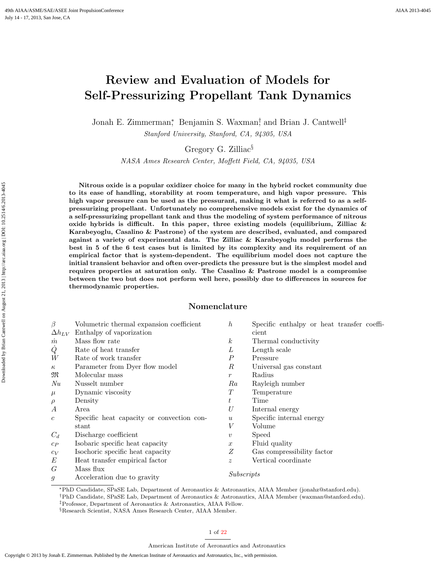# Review and Evaluation of Models for Self-Pressurizing Propellant Tank Dynamics

Jonah E. Zimmerman<sup>∗</sup> , Benjamin S. Waxman† , and Brian J. Cantwell‡

Stanford University, Stanford, CA, 94305, USA

Gregory G. Zilliac§

NASA Ames Research Center, Moffett Field, CA, 94035, USA

Nitrous oxide is a popular oxidizer choice for many in the hybrid rocket community due to its ease of handling, storability at room temperature, and high vapor pressure. This high vapor pressure can be used as the pressurant, making it what is referred to as a selfpressurizing propellant. Unfortunately no comprehensive models exist for the dynamics of a self-pressurizing propellant tank and thus the modeling of system performance of nitrous oxide hybrids is difficult. In this paper, three existing models (equilibrium, Zilliac  $\&$ Karabeyoglu, Casalino & Pastrone) of the system are described, evaluated, and compared against a variety of experimental data. The Zilliac & Karabeyoglu model performs the best in 5 of the 6 test cases but is limited by its complexity and its requirement of an empirical factor that is system-dependent. The equilibrium model does not capture the initial transient behavior and often over-predicts the pressure but is the simplest model and requires properties at saturation only. The Casalino & Pastrone model is a compromise between the two but does not perform well here, possibly due to differences in sources for thermodynamic properties.

## Nomenclature

| Volumetric thermal expansion coefficient  | $\boldsymbol{h}$ | Specific enthalpy or heat transfer coeffi- |
|-------------------------------------------|------------------|--------------------------------------------|
| Enthalpy of vaporization                  |                  | cient                                      |
| Mass flow rate                            | $\boldsymbol{k}$ | Thermal conductivity                       |
| Rate of heat transfer                     | L                | Length scale                               |
| Rate of work transfer                     | Р                | Pressure                                   |
| Parameter from Dyer flow model            | $\boldsymbol{R}$ | Universal gas constant                     |
| Molecular mass                            | $\mathcal{r}$    | Radius                                     |
| Nusselt number                            | Ra               | Rayleigh number                            |
| Dynamic viscosity                         | $T\,$            | Temperature                                |
| Density                                   | $t\,$            | Time                                       |
| Area                                      | U                | Internal energy                            |
| Specific heat capacity or convection con- | $\boldsymbol{u}$ | Specific internal energy                   |
| stant                                     | V                | Volume                                     |
| Discharge coefficient                     | $\boldsymbol{v}$ | Speed                                      |
| Isobaric specific heat capacity           | $\boldsymbol{x}$ | Fluid quality                              |
| Isochoric specific heat capacity          | Ζ                | Gas compressibility factor                 |
| Heat transfer empirical factor            | $\boldsymbol{z}$ | Vertical coordinate                        |
| Mass flux                                 |                  |                                            |
| Acceleration due to gravity               | Subscripts       |                                            |
|                                           |                  |                                            |

<sup>∗</sup>PhD Candidate, SPaSE Lab, Department of Aeronautics & Astronautics, AIAA Member (jonahz@stanford.edu).

<sup>†</sup>PhD Candidate, SPaSE Lab, Department of Aeronautics & Astronautics, AIAA Member (waxman@stanford.edu).

<sup>‡</sup>Professor, Department of Aeronautics & Astronautics, AIAA Fellow.

<sup>§</sup>Research Scientist, NASA Ames Research Center, AIAA Member.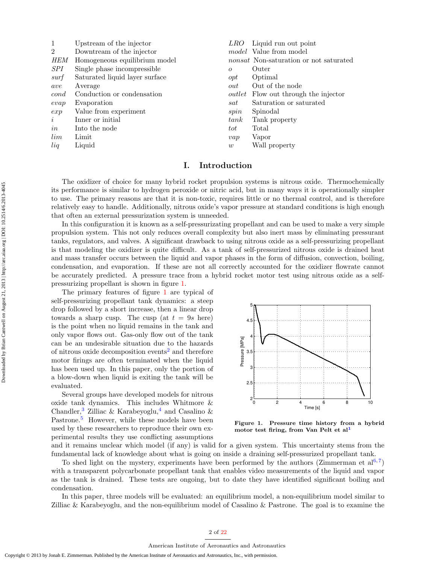| $\mathbf{1}$   | Upstream of the injector       | LRO            | Liquid run out point                          |
|----------------|--------------------------------|----------------|-----------------------------------------------|
| $\overline{2}$ | Downtream of the injector      |                | <i>model</i> Value from model                 |
| <i>HEM</i>     | Homogeneous equilibrium model  |                | <i>nonsat</i> Non-saturation or not saturated |
| <i>SPI</i>     | Single phase incompressible    | $\overline{O}$ | Outer                                         |
| surf           | Saturated liquid layer surface | opt            | Optimal                                       |
| ave            | Average                        | out            | Out of the node                               |
| cond           | Conduction or condensation     |                | <i>outlet</i> Flow out through the injector   |
| evap           | Evaporation                    | sat            | Saturation or saturated                       |
| exp            | Value from experiment          | spin           | Spinodal                                      |
| $\dot{i}$      | Inner or initial               | tank           | Tank property                                 |
| in             | Into the node                  | tot            | Total                                         |
| lim            | Limit                          | vap            | Vapor                                         |
| liq            | Liquid                         | w              | Wall property                                 |
|                |                                |                |                                               |

## I. Introduction

The oxidizer of choice for many hybrid rocket propulsion systems is nitrous oxide. Thermochemically its performance is similar to hydrogen peroxide or nitric acid, but in many ways it is operationally simpler to use. The primary reasons are that it is non-toxic, requires little or no thermal control, and is therefore relatively easy to handle. Additionally, nitrous oxide's vapor pressure at standard conditions is high enough that often an external pressurization system is unneeded.

In this configuration it is known as a self-pressurizating propellant and can be used to make a very simple propulsion system. This not only reduces overall complexity but also inert mass by eliminating pressurant tanks, regulators, and valves. A significant drawback to using nitrous oxide as a self-pressurizing propellant is that modeling the oxidizer is quite difficult. As a tank of self-pressurized nitrous oxide is drained heat and mass transfer occurs between the liquid and vapor phases in the form of diffusion, convection, boiling, condensation, and evaporation. If these are not all correctly accounted for the oxidizer flowrate cannot be accurately predicted. A pressure trace from a hybrid rocket motor test using nitrous oxide as a selfpressurizing propellant is shown in figure [1.](#page-1-0)

The primary features of figure [1](#page-1-0) are typical of self-pressurizing propellant tank dynamics: a steep drop followed by a short increase, then a linear drop towards a sharp cusp. The cusp (at  $t = 9s$  here) is the point when no liquid remains in the tank and only vapor flows out. Gas-only flow out of the tank can be an undesirable situation due to the hazards of nitrous oxide decomposition events[2](#page-20-1) and therefore motor firings are often terminated when the liquid has been used up. In this paper, only the portion of a blow-down when liquid is exiting the tank will be evaluated.

Several groups have developed models for nitrous oxide tank dynamics. This includes Whitmore & Chandler,<sup>[3](#page-20-2)</sup> Zilliac & Karabeyoglu,<sup>[4](#page-20-3)</sup> and Casalino & Pastrone.<sup>[5](#page-20-4)</sup> However, while these models have been used by these researchers to reproduce their own experimental results they use conflicting assumptions



<span id="page-1-0"></span>Figure 1. Pressure time history from a hybrid motor test firing, from Van Pelt et al[1](#page-20-0)

and it remains unclear which model (if any) is valid for a given system. This uncertainty stems from the fundamental lack of knowledge about what is going on inside a draining self-pressurized propellant tank.

To shed light on the mystery, experiments have been performed by the authors (Zimmerman et al<sup>[6,](#page-20-5)[7](#page-20-6)</sup>) with a transparent polycarbonate propellant tank that enables video measurements of the liquid and vapor as the tank is drained. These tests are ongoing, but to date they have identified significant boiling and condensation.

In this paper, three models will be evaluated: an equilibrium model, a non-equilibrium model similar to Zilliac & Karabeyoglu, and the non-equilibrium model of Casalino & Pastrone. The goal is to examine the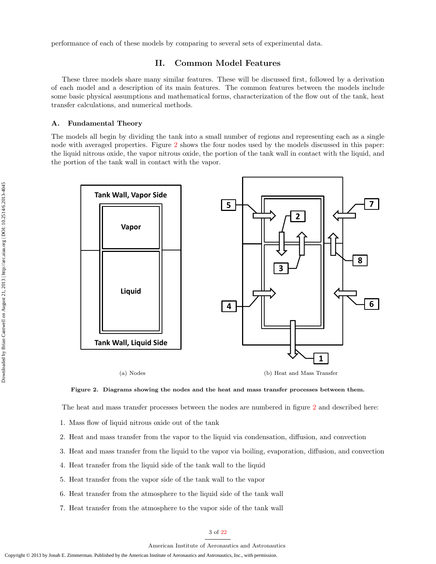performance of each of these models by comparing to several sets of experimental data.

# II. Common Model Features

These three models share many similar features. These will be discussed first, followed by a derivation of each model and a description of its main features. The common features between the models include some basic physical assumptions and mathematical forms, characterization of the flow out of the tank, heat transfer calculations, and numerical methods.

#### A. Fundamental Theory

The models all begin by dividing the tank into a small number of regions and representing each as a single node with averaged properties. Figure [2](#page-2-0) shows the four nodes used by the models discussed in this paper: the liquid nitrous oxide, the vapor nitrous oxide, the portion of the tank wall in contact with the liquid, and the portion of the tank wall in contact with the vapor.



<span id="page-2-0"></span>

(b) Heat and Mass Transfer



The heat and mass transfer processes between the nodes are numbered in figure [2](#page-2-0) and described here:

- 1. Mass flow of liquid nitrous oxide out of the tank
- 2. Heat and mass transfer from the vapor to the liquid via condensation, diffusion, and convection
- 3. Heat and mass transfer from the liquid to the vapor via boiling, evaporation, diffusion, and convection
- 4. Heat transfer from the liquid side of the tank wall to the liquid
- 5. Heat transfer from the vapor side of the tank wall to the vapor
- 6. Heat transfer from the atmosphere to the liquid side of the tank wall
- 7. Heat transfer from the atmosphere to the vapor side of the tank wall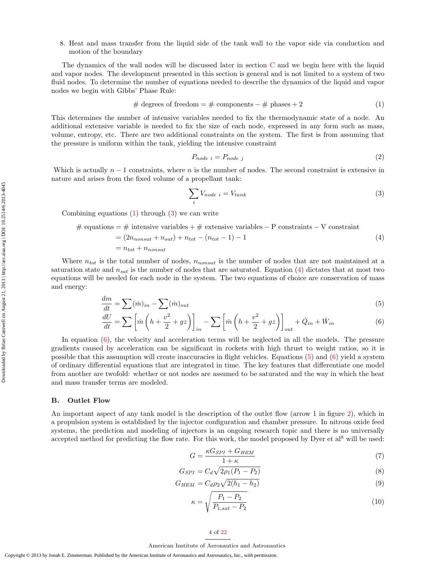8. Heat and mass transfer from the liquid side of the tank wall to the vapor side via conduction and motion of the boundary

The dynamics of the wall nodes will be discussed later in section [C](#page-4-0) and we begin here with the liquid and vapor nodes. The development presented in this section is general and is not limited to a system of two fluid nodes. To determine the number of equations needed to describe the dynamics of the liquid and vapor nodes we begin with Gibbs' Phase Rule:

<span id="page-3-0"></span>
$$
\# degrees of freedom = \# components - \# phases + 2 \tag{1}
$$

This determines the number of intensive variables needed to fix the thermodynamic state of a node. An additional extensive variable is needed to fix the size of each node, expressed in any form such as mass, volume, entropy, etc. There are two additional constraints on the system. The first is from assuming that the pressure is uniform within the tank, yielding the intensive constraint

<span id="page-3-8"></span><span id="page-3-1"></span>
$$
P_{node\ i} = P_{node\ j} \tag{2}
$$

Which is actually  $n-1$  constraints, where n is the number of nodes. The second constraint is extensive in nature and arises from the fixed volume of a propellant tank:

<span id="page-3-4"></span><span id="page-3-3"></span><span id="page-3-2"></span>
$$
\sum_{i} V_{node\ i} = V_{tank} \tag{3}
$$

Combining equations [\(1\)](#page-3-0) through [\(3\)](#page-3-1) we can write

# equations = # intensive variables + # extensive variables – P constraints – V constraint  
\n= 
$$
(2n_{nonsat} + n_{sat}) + n_{tot} - (n_{tot} - 1) - 1
$$
  
\n=  $n_{tot} + n_{nonsat}$  (4)

Where  $n_{tot}$  is the total number of nodes,  $n_{nonsat}$  is the number of nodes that are not maintained at a saturation state and  $n_{sat}$  is the number of nodes that are saturated. Equation [\(4\)](#page-3-2) dictates that at most two equations will be needed for each node in the system. The two equations of choice are conservation of mass and energy:

$$
\frac{dm}{dt} = \sum (\dot{m})_{in} - \sum (\dot{m})_{out} \tag{5}
$$

$$
\frac{dU}{dt} = \sum \left[ \dot{m} \left( h + \frac{v^2}{2} + gz \right) \right]_{in} - \sum \left[ \dot{m} \left( h + \frac{v^2}{2} + gz \right) \right]_{out} + \dot{Q}_{in} + \dot{W}_{in} \tag{6}
$$

In equation [\(6\)](#page-3-3), the velocity and acceleration terms will be neglected in all the models. The pressure gradients caused by acceleration can be significant in rockets with high thrust to weight ratios, so it is possible that this assumption will create inaccuracies in flight vehicles. Equations [\(5\)](#page-3-4) and [\(6\)](#page-3-3) yield a system of ordinary differential equations that are integrated in time. The key features that differentiate one model from another are twofold: whether or not nodes are assumed to be saturated and the way in which the heat and mass transfer terms are modeled.

#### B. Outlet Flow

An important aspect of any tank model is the description of the outlet flow (arrow 1 in figure [2\)](#page-2-0), which in a propulsion system is established by the injector configuration and chamber pressure. In nitrous oxide feed systems, the prediction and modeling of injectors is an ongoing research topic and there is no universally accepted method for predicting the flow rate. For this work, the model proposed by Dyer et al<sup>[8](#page-20-7)</sup> will be used:

<span id="page-3-5"></span>
$$
G = \frac{\kappa G_{SPI} + G_{HEM}}{1 + \kappa} \tag{7}
$$

$$
G_{SPI} = C_d \sqrt{2\rho_1 (P_1 - P_2)}
$$
\n(8)

$$
G_{HEM} = C_d \rho_2 \sqrt{2(h_1 - h_2)}
$$
\n(9)

$$
\kappa = \sqrt{\frac{P_1 - P_2}{P_{1,sat} - P_2}}\tag{10}
$$

## <span id="page-3-7"></span><span id="page-3-6"></span>4 of [22](#page-21-0)

#### American Institute of Aeronautics and Astronautics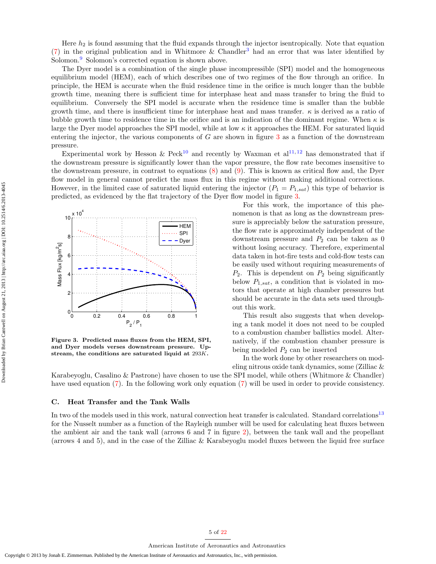Here  $h_2$  is found assuming that the fluid expands through the injector isentropically. Note that equation [\(7\)](#page-3-5) in the original publication and in Whitmore & Chandler<sup>[3](#page-20-2)</sup> had an error that was later identified by Solomon.[9](#page-20-8) Solomon's corrected equation is shown above.

The Dyer model is a combination of the single phase incompressible (SPI) model and the homogeneous equilibrium model (HEM), each of which describes one of two regimes of the flow through an orifice. In principle, the HEM is accurate when the fluid residence time in the orifice is much longer than the bubble growth time, meaning there is sufficient time for interphase heat and mass transfer to bring the fluid to equilibrium. Conversely the SPI model is accurate when the residence time is smaller than the bubble growth time, and there is insufficient time for interphase heat and mass transfer.  $\kappa$  is derived as a ratio of bubble growth time to residence time in the orifice and is an indication of the dominant regime. When  $\kappa$  is large the Dyer model approaches the SPI model, while at low  $\kappa$  it approaches the HEM. For saturated liquid entering the injector, the various components of  $G$  are shown in figure [3](#page-4-1) as a function of the downstream pressure.

Experimental work by Hesson & Peck<sup>[10](#page-20-9)</sup> and recently by Waxman et al<sup>[11,](#page-20-10)[12](#page-20-11)</sup> has demonstrated that if the downstream pressure is significantly lower than the vapor pressure, the flow rate becomes insensitive to the downstream pressure, in contrast to equations [\(8\)](#page-3-6) and [\(9\)](#page-3-7). This is known as critical flow and, the Dyer flow model in general cannot predict the mass flux in this regime without making additional corrections. However, in the limited case of saturated liquid entering the injector  $(P_1 = P_{1,sat})$  this type of behavior is predicted, as evidenced by the flat trajectory of the Dyer flow model in figure [3.](#page-4-1)



<span id="page-4-1"></span>Figure 3. Predicted mass fluxes from the HEM, SPI, and Dyer models verses downstream pressure. Upstream, the conditions are saturated liquid at 293K.

For this work, the importance of this phenomenon is that as long as the downstream pressure is appreciably below the saturation pressure, the flow rate is approximately independent of the downstream pressure and  $P_2$  can be taken as 0 without losing accuracy. Therefore, experimental data taken in hot-fire tests and cold-flow tests can be easily used without requiring measurements of  $P_2$ . This is dependent on  $P_2$  being significantly below  $P_{1,sat}$ , a condition that is violated in motors that operate at high chamber pressures but should be accurate in the data sets used throughout this work.

This result also suggests that when developing a tank model it does not need to be coupled to a combustion chamber ballistics model. Alternatively, if the combustion chamber pressure is being modeled  $P_2$  can be inserted

In the work done by other researchers on modeling nitrous oxide tank dynamics, some (Zilliac &

Karabeyoglu, Casalino & Pastrone) have chosen to use the SPI model, while others (Whitmore & Chandler) have used equation [\(7\)](#page-3-5). In the following work only equation [\(7\)](#page-3-5) will be used in order to provide consistency.

#### <span id="page-4-0"></span>C. Heat Transfer and the Tank Walls

In two of the models used in this work, natural convection heat transfer is calculated. Standard correlations<sup>[13](#page-20-12)</sup> for the Nusselt number as a function of the Rayleigh number will be used for calculating heat fluxes between the ambient air and the tank wall (arrows 6 and 7 in figure [2\)](#page-2-0), between the tank wall and the propellant (arrows 4 and 5), and in the case of the Zilliac & Karabeyoglu model fluxes between the liquid free surface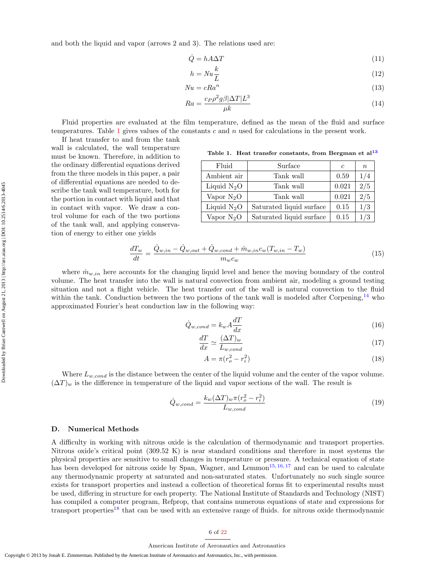and both the liquid and vapor (arrows 2 and 3). The relations used are:

<span id="page-5-1"></span>
$$
\dot{Q} = hA\Delta T\tag{11}
$$

$$
h = Nu\frac{k}{L} \tag{12}
$$

$$
Nu = cRa^n \tag{13}
$$

$$
Ra = \frac{c_P \rho^2 g \beta |\Delta T| L^3}{\mu k} \tag{14}
$$

Fluid properties are evaluated at the film temperature, defined as the mean of the fluid and surface temperatures. Table [1](#page-5-0) gives values of the constants c and n used for calculations in the present work.

If heat transfer to and from the tank wall is calculated, the wall temperature must be known. Therefore, in addition to the ordinary differential equations derived from the three models in this paper, a pair of differential equations are needed to describe the tank wall temperature, both for the portion in contact with liquid and that in contact with vapor. We draw a control volume for each of the two portions of the tank wall, and applying conservation of energy to either one yields

<span id="page-5-2"></span><span id="page-5-0"></span>Table 1. Heat transfer constants, from Bergman et al<sup>[13](#page-20-12)</sup>

| Fluid         | Surface                  | $\epsilon$ | $\boldsymbol{n}$ |
|---------------|--------------------------|------------|------------------|
| Ambient air   | Tank wall                | 0.59       |                  |
| Liquid $N_2O$ | Tank wall                | 0.021      | 75               |
| Vapor $N_2O$  | Tank wall                | 0.021      | 2/5              |
| Liquid $N_2O$ | Saturated liquid surface | 0.15       |                  |
| Vapor $N_2O$  | Saturated liquid surface | 0.15       |                  |

<span id="page-5-3"></span>
$$
\frac{dT_w}{dt} = \frac{\dot{Q}_{w,in} - \dot{Q}_{w,out} + \dot{Q}_{w,cond} + \dot{m}_{w,in}c_w(T_{w,in} - T_w)}{m_w c_w} \tag{15}
$$

where  $\dot{m}_{w,in}$  here accounts for the changing liquid level and hence the moving boundary of the control volume. The heat transfer into the wall is natural convection from ambient air, modeling a ground testing situation and not a flight vehicle. The heat transfer out of the wall is natural convection to the fluid within the tank. Conduction between the two portions of the tank wall is modeled after Corpening,<sup>[14](#page-20-13)</sup> who approximated Fourier's heat conduction law in the following way:

$$
\dot{Q}_{w,cond} = k_w A \frac{dT}{dx} \tag{16}
$$

$$
\frac{dT}{dx} \simeq \frac{(\Delta T)_w}{L_{w,cond}}\tag{17}
$$

$$
A = \pi (r_o^2 - r_i^2) \tag{18}
$$

Where  $L_{w,cond}$  is the distance between the center of the liquid volume and the center of the vapor volume.  $(\Delta T)_w$  is the difference in temperature of the liquid and vapor sections of the wall. The result is

$$
\dot{Q}_{w,cond} = \frac{k_w (\Delta T)_w \pi (r_o^2 - r_i^2)}{L_{w,cond}}
$$
\n(19)

### D. Numerical Methods

A difficulty in working with nitrous oxide is the calculation of thermodynamic and transport properties. Nitrous oxide's critical point (309.52 K) is near standard conditions and therefore in most systems the physical properties are sensitive to small changes in temperature or pressure. A technical equation of state has been developed for nitrous oxide by Span, Wagner, and Lemmon<sup>[15,](#page-20-14) [16,](#page-20-15) [17](#page-20-16)</sup> and can be used to calculate any thermodynamic property at saturated and non-saturated states. Unfortunately no such single source exists for transport properties and instead a collection of theoretical forms fit to experimental results must be used, differing in structure for each property. The National Institute of Standards and Technology (NIST) has compiled a computer program, Refprop, that contains numerous equations of state and expressions for transport properties[18](#page-20-17) that can be used with an extensive range of fluids. for nitrous oxide thermodynamic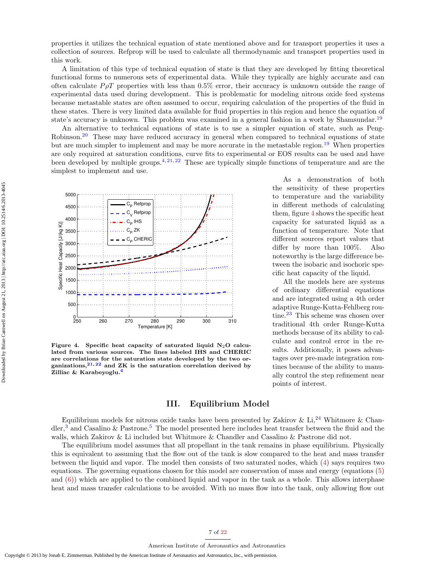properties it utilizes the technical equation of state mentioned above and for transport properties it uses a collection of sources. Refprop will be used to calculate all thermodynamic and transport properties used in this work.

A limitation of this type of technical equation of state is that they are developed by fitting theoretical functional forms to numerous sets of experimental data. While they typically are highly accurate and can often calculate  $P\rho T$  properties with less than 0.5% error, their accuracy is unknown outside the range of experimental data used during development. This is problematic for modeling nitrous oxide feed systems because metastable states are often assumed to occur, requiring calculation of the properties of the fluid in these states. There is very limited data available for fluid properties in this region and hence the equation of state's accuracy is unknown. This problem was examined in a general fashion in a work by Shamsundar.<sup>[19](#page-20-18)</sup>

An alternative to technical equations of state is to use a simpler equation of state, such as Peng-Robinson.<sup>[20](#page-20-19)</sup> These may have reduced accuracy in general when compared to technical equations of state but are much simpler to implement and may be more accurate in the metastable region.<sup>[19](#page-20-18)</sup> When properties are only required at saturation conditions, curve fits to experimental or EOS results can be used and have been developed by multiple groups.<sup>[4,](#page-20-3) [21,](#page-20-20) [22](#page-20-21)</sup> These are typically simple functions of temperature and are the simplest to implement and use.



<span id="page-6-0"></span>Figure 4. Specific heat capacity of saturated liquid  $N_2O$  calculated from various sources. The lines labeled IHS and CHERIC are correlations for the saturation state developed by the two organizations, $2^{1,22}$  $2^{1,22}$  $2^{1,22}$  and ZK is the saturation correlation derived by Zilliac & Karabeyoglu.<sup>[4](#page-20-3)</sup>

# III. Equilibrium Model

Equilibrium models for nitrous oxide tanks have been presented by Zakirov & Li,<sup>[24](#page-20-23)</sup> Whitmore & Chan-dler,<sup>[3](#page-20-2)</sup> and Casalino & Pastrone.<sup>[5](#page-20-4)</sup> The model presented here includes heat transfer between the fluid and the walls, which Zakirov & Li included but Whitmore & Chandler and Casalino & Pastrone did not.

The equilibrium model assumes that all propellant in the tank remains in phase equilibrium. Physically this is equivalent to assuming that the flow out of the tank is slow compared to the heat and mass transfer between the liquid and vapor. The model then consists of two saturated nodes, which [\(4\)](#page-3-2) says requires two equations. The governing equations chosen for this model are conservation of mass and energy (equations [\(5\)](#page-3-4) and  $(6)$ ) which are applied to the combined liquid and vapor in the tank as a whole. This allows interphase heat and mass transfer calculations to be avoided. With no mass flow into the tank, only allowing flow out

All the models here are systems of ordinary differential equations and are integrated using a 4th order adaptive Runge-Kutta-Fehlberg rou-tine.<sup>[23](#page-20-22)</sup> This scheme was chosen over traditional 4th order Runge-Kutta methods because of its ability to calculate and control error in the results. Additionally, it poses advantages over pre-made integration routines because of the ability to manually control the step refinement near points of interest.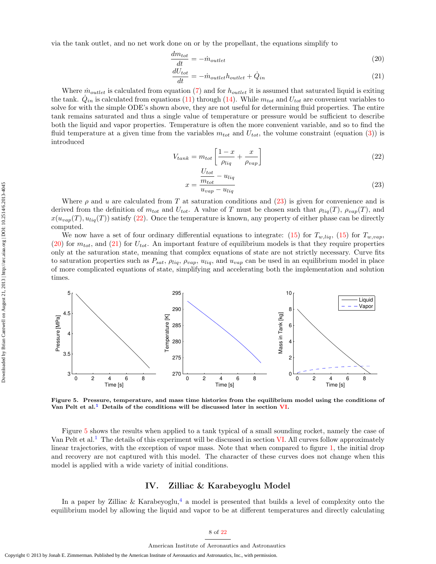via the tank outlet, and no net work done on or by the propellant, the equations simplify to

$$
\frac{dm_{tot}}{dt} = -\dot{m}_{outlet} \tag{20}
$$

<span id="page-7-3"></span><span id="page-7-2"></span>
$$
\frac{dU_{tot}}{dt} = -\dot{m}_{outlet}h_{outlet} + \dot{Q}_{in} \tag{21}
$$

Where  $\dot{m}_{outlet}$  is calculated from equation [\(7\)](#page-3-5) and for  $h_{outlet}$  it is assumed that saturated liquid is exiting the tank.  $\dot{Q}_{in}$  is calculated from equations [\(11\)](#page-5-1) through [\(14\)](#page-5-2). While  $m_{tot}$  and  $U_{tot}$  are convenient variables to solve for with the simple ODE's shown above, they are not useful for determining fluid properties. The entire tank remains saturated and thus a single value of temperature or pressure would be sufficient to describe both the liquid and vapor properties. Temperature is often the more convenient variable, and so to find the fluid temperature at a given time from the variables  $m_{tot}$  and  $U_{tot}$ , the volume constraint (equation [\(3\)](#page-3-1)) is introduced

$$
V_{tank} = m_{tot} \left[ \frac{1 - x}{\rho_{liq}} + \frac{x}{\rho_{vap}} \right]
$$
 (22)

<span id="page-7-1"></span><span id="page-7-0"></span>
$$
x = \frac{\frac{U_{tot}}{m_{tot}} - u_{liq}}{u_{vap} - u_{liq}}
$$
\n(23)

Where  $\rho$  and u are calculated from T at saturation conditions and  $(23)$  is given for convenience and is derived from the definition of  $m_{tot}$  and  $U_{tot}$ . A value of T must be chosen such that  $\rho_{liq}(T)$ ,  $\rho_{van}(T)$ , and  $x(u_{vap}(T), u_{liq}(T))$  satisfy [\(22\)](#page-7-1). Once the temperature is known, any property of either phase can be directly computed.

We now have a set of four ordinary differential equations to integrate: [\(15\)](#page-5-3) for  $T_{w,liq}$ , (15) for  $T_{w,vap}$ ,  $(20)$  for  $m_{tot}$ , and  $(21)$  for  $U_{tot}$ . An important feature of equilibrium models is that they require properties only at the saturation state, meaning that complex equations of state are not strictly necessary. Curve fits to saturation properties such as  $P_{sat}$ ,  $\rho_{liq}$ ,  $\rho_{vap}$ ,  $u_{liq}$ , and  $u_{vap}$  can be used in an equilibrium model in place of more complicated equations of state, simplifying and accelerating both the implementation and solution times.



<span id="page-7-4"></span>Figure 5. Pressure, temperature, and mass time histories from the equilibrium model using the conditions of Van Pelt et al.<sup>[1](#page-20-0)</sup> Details of the conditions will be discussed later in section  $VI$ .

Figure [5](#page-7-4) shows the results when applied to a tank typical of a small sounding rocket, namely the case of Van Pelt et al.<sup>[1](#page-20-0)</sup> The details of this experiment will be discussed in section [VI.](#page-12-0) All curves follow approximately linear trajectories, with the exception of vapor mass. Note that when compared to figure [1,](#page-1-0) the initial drop and recovery are not captured with this model. The character of these curves does not change when this model is applied with a wide variety of initial conditions.

# IV. Zilliac & Karabeyoglu Model

In a paper by Zilliac & Karabeyoglu,<sup>[4](#page-20-3)</sup> a model is presented that builds a level of complexity onto the equilibrium model by allowing the liquid and vapor to be at different temperatures and directly calculating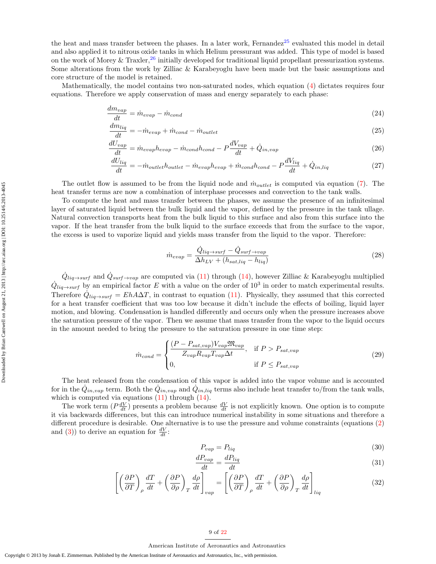the heat and mass transfer between the phases. In a later work, Fernandez<sup>[25](#page-20-24)</sup> evaluated this model in detail and also applied it to nitrous oxide tanks in which Helium pressurant was added. This type of model is based on the work of Morey & Traxler,<sup>[26](#page-20-25)</sup> initially developed for traditional liquid propellant pressurization systems. Some alterations from the work by Zilliac & Karabeyoglu have been made but the basic assumptions and core structure of the model is retained.

Mathematically, the model contains two non-saturated nodes, which equation [\(4\)](#page-3-2) dictates requires four equations. Therefore we apply conservation of mass and energy separately to each phase:

$$
\frac{dm_{vap}}{dt} = \dot{m}_{evap} - \dot{m}_{cond} \tag{24}
$$

$$
\frac{dm_{liq}}{dt} = -\dot{m}_{evap} + \dot{m}_{cond} - \dot{m}_{outlet} \tag{25}
$$

$$
\frac{dU_{vap}}{dt} = \dot{m}_{evap}h_{evap} - \dot{m}_{cond}h_{cond} - P\frac{dV_{vap}}{dt} + \dot{Q}_{in,vap} \tag{26}
$$

$$
\frac{dU_{liq}}{dt} = -\dot{m}_{outlet}h_{outlet} - \dot{m}_{evap}h_{evap} + \dot{m}_{cond}h_{cond} - P\frac{dV_{liq}}{dt} + \dot{Q}_{in,liq}
$$
\n(27)

The outlet flow is assumed to be from the liquid node and  $\dot{m}_{outlet}$  is computed via equation [\(7\)](#page-3-5). The heat transfer terms are now a combination of interphase processes and convection to the tank walls.

To compute the heat and mass transfer between the phases, we assume the presence of an infinitesimal layer of saturated liquid between the bulk liquid and the vapor, defined by the pressure in the tank ullage. Natural convection transports heat from the bulk liquid to this surface and also from this surface into the vapor. If the heat transfer from the bulk liquid to the surface exceeds that from the surface to the vapor, the excess is used to vaporize liquid and yields mass transfer from the liquid to the vapor. Therefore:

<span id="page-8-4"></span><span id="page-8-3"></span><span id="page-8-2"></span><span id="page-8-1"></span>
$$
\dot{m}_{evap} = \frac{\dot{Q}_{liq \to surf} - \dot{Q}_{surf \to vap}}{\Delta h_{LV} + (h_{sat,liq} - h_{liq})}
$$
\n(28)

 $\dot{Q}_{liq \to surf}$  and  $\dot{Q}_{surf \to vap}$  are computed via [\(11\)](#page-5-1) through [\(14\)](#page-5-2), however Zilliac & Karabeyoglu multiplied  $\dot{Q}_{liq \to surf}$  by an empirical factor E with a value on the order of 10<sup>3</sup> in order to match experimental results. Therefore  $\dot{Q}_{liq \to surf} = EhA\Delta T$ , in contrast to equation [\(11\)](#page-5-1). Physically, they assumed that this corrected for a heat transfer coefficient that was too low because it didn't include the effects of boiling, liquid layer motion, and blowing. Condensation is handled differently and occurs only when the pressure increases above the saturation pressure of the vapor. Then we assume that mass transfer from the vapor to the liquid occurs in the amount needed to bring the pressure to the saturation pressure in one time step:

$$
\dot{m}_{cond} = \begin{cases}\n\frac{(P - P_{sat,vap})V_{vap}\mathfrak{M}_{vap}}{Z_{vap}R_{vap}T_{vap}\Delta t}, & \text{if } P > P_{sat,vap} \\
0, & \text{if } P \le P_{sat,vap}\n\end{cases}
$$
\n(29)

The heat released from the condensation of this vapor is added into the vapor volume and is accounted for in the  $\dot{Q}_{in,vap}$  term. Both the  $\dot{Q}_{in,vap}$  and  $\dot{Q}_{in,liq}$  terms also include heat transfer to/from the tank walls, which is computed via equations  $(11)$  through  $(14)$ .

The work term  $(P\frac{dV}{dt})$  presents a problem because  $\frac{dV}{dt}$  is not explicitly known. One option is to compute it via backwards differences, but this can introduce numerical instability in some situations and therefore a different procedure is desirable. One alternative is to use the pressure and volume constraints (equations [\(2\)](#page-3-8) and [\(3\)](#page-3-1)) to derive an equation for  $\frac{dV}{dt}$ :

<span id="page-8-0"></span>
$$
P_{vap} = P_{liq} \tag{30}
$$

$$
\frac{dP_{vap}}{dt} = \frac{dP_{liq}}{dt} \tag{31}
$$

$$
\left[ \left( \frac{\partial P}{\partial T} \right)_{\rho} \frac{dT}{dt} + \left( \frac{\partial P}{\partial \rho} \right)_{T} \frac{d\rho}{dt} \right]_{vap} = \left[ \left( \frac{\partial P}{\partial T} \right)_{\rho} \frac{dT}{dt} + \left( \frac{\partial P}{\partial \rho} \right)_{T} \frac{d\rho}{dt} \right]_{liq} \tag{32}
$$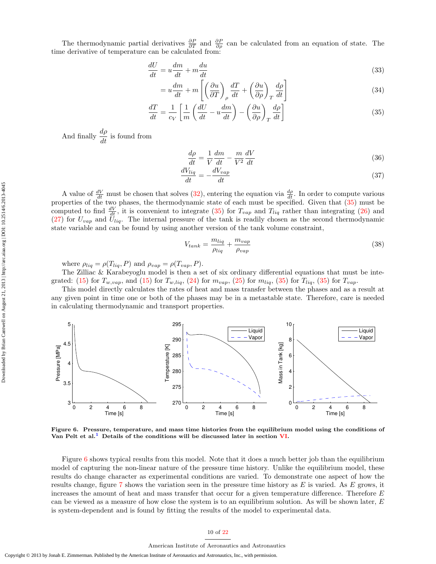The thermodynamic partial derivatives  $\frac{\partial P}{\partial T}$  and  $\frac{\partial P}{\partial \rho}$  can be calculated from an equation of state. The time derivative of temperature can be calculated from:

$$
\frac{dU}{dt} = u\frac{dm}{dt} + m\frac{du}{dt} \tag{33}
$$

$$
=u\frac{dm}{dt} + m\left[\left(\frac{\partial u}{\partial T}\right)_\rho \frac{dT}{dt} + \left(\frac{\partial u}{\partial \rho}\right)_T \frac{d\rho}{dt}\right]
$$
(34)

$$
\frac{dT}{dt} = \frac{1}{c_V} \left[ \frac{1}{m} \left( \frac{dU}{dt} - u \frac{dm}{dt} \right) - \left( \frac{\partial u}{\partial \rho} \right)_T \frac{d\rho}{dt} \right] \tag{35}
$$

And finally  $\frac{d\rho}{dt}$  is found from

<span id="page-9-0"></span>
$$
\frac{d\rho}{dt} = \frac{1}{V}\frac{dm}{dt} - \frac{m}{V^2}\frac{dV}{dt}
$$
\n(36)

$$
\frac{dV_{liq}}{dt} = -\frac{dV_{vap}}{dt} \tag{37}
$$

A value of  $\frac{dV}{dt}$  must be chosen that solves [\(32\)](#page-8-0), entering the equation via  $\frac{d\rho}{dt}$ . In order to compute various properties of the two phases, the thermodynamic state of each must be specified. Given that [\(35\)](#page-9-0) must be computed to find  $\frac{dV}{dt}$ , it is convenient to integrate [\(35\)](#page-9-0) for  $T_{vap}$  and  $T_{liq}$  rather than integrating [\(26\)](#page-8-1) and  $(27)$  for  $U_{vap}$  and  $\tilde{U}_{liq}$ . The internal pressure of the tank is readily chosen as the second thermodynamic state variable and can be found by using another version of the tank volume constraint,

$$
V_{tank} = \frac{m_{liq}}{\rho_{liq}} + \frac{m_{vap}}{\rho_{vap}} \tag{38}
$$

where  $\rho_{liq} = \rho(T_{liq}, P)$  and  $\rho_{vap} = \rho(T_{vap}, P)$ .

The Zilliac & Karabeyoglu model is then a set of six ordinary differential equations that must be inte-grated: [\(15\)](#page-5-3) for  $T_{w,vap}$ , and (15) for  $T_{w,liq}$ , [\(24\)](#page-8-3) for  $m_{vap}$ , [\(25\)](#page-8-4) for  $m_{liq}$ , [\(35\)](#page-9-0) for  $T_{liq}$ , (35) for  $T_{vap}$ .

This model directly calculates the rates of heat and mass transfer between the phases and as a result at any given point in time one or both of the phases may be in a metastable state. Therefore, care is needed in calculating thermodynamic and transport properties.



<span id="page-9-1"></span>Figure 6. Pressure, temperature, and mass time histories from the equilibrium model using the conditions of Van Pelt et al.<sup>[1](#page-20-0)</sup> Details of the conditions will be discussed later in section  $VI$ .

Figure [6](#page-9-1) shows typical results from this model. Note that it does a much better job than the equilibrium model of capturing the non-linear nature of the pressure time history. Unlike the equilibrium model, these results do change character as experimental conditions are varied. To demonstrate one aspect of how the results change, figure [7](#page-10-0) shows the variation seen in the pressure time history as  $E$  is varied. As  $E$  grows, it increases the amount of heat and mass transfer that occur for a given temperature difference. Therefore E can be viewed as a measure of how close the system is to an equilibrium solution. As will be shown later, E is system-dependent and is found by fitting the results of the model to experimental data.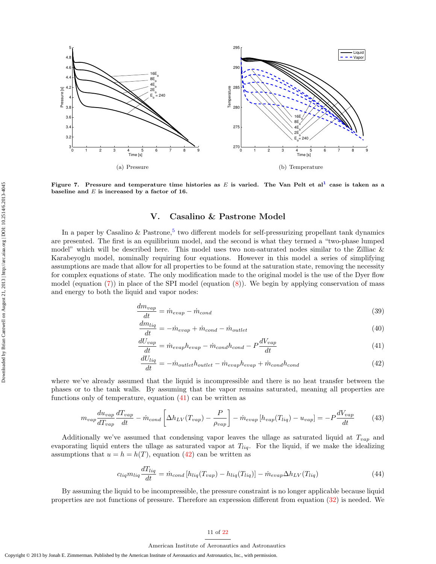

<span id="page-10-0"></span>Figure 7. Pressure and temperature time histories as E is varied. The Van Pelt et al<sup>[1](#page-20-0)</sup> case is taken as a baseline and  $E$  is increased by a factor of 16.

# V. Casalino & Pastrone Model

In a paper by Casalino & Pastrone,<sup>[5](#page-20-4)</sup> two different models for self-pressurizing propellant tank dynamics are presented. The first is an equilibrium model, and the second is what they termed a "two-phase lumped model" which will be described here. This model uses two non-saturated nodes similar to the Zilliac & Karabeyoglu model, nominally requiring four equations. However in this model a series of simplifying assumptions are made that allow for all properties to be found at the saturation state, removing the necessity for complex equations of state. The only modification made to the original model is the use of the Dyer flow model (equation  $(7)$ ) in place of the SPI model (equation  $(8)$ ). We begin by applying conservation of mass and energy to both the liquid and vapor nodes:

$$
\frac{dm_{vap}}{dt} = \dot{m}_{evap} - \dot{m}_{cond} \tag{39}
$$

$$
\frac{dm_{liq}}{dt} = -\dot{m}_{evap} + \dot{m}_{cond} - \dot{m}_{outlet} \tag{40}
$$

$$
\frac{dU_{vap}}{dt} = \dot{m}_{evap}h_{evap} - \dot{m}_{cond}h_{cond} - P\frac{dV_{vap}}{dt}
$$
\n(41)

<span id="page-10-5"></span><span id="page-10-3"></span><span id="page-10-2"></span><span id="page-10-1"></span>
$$
\frac{dU_{liq}}{dt} = -\dot{m}_{outlet}h_{outlet} - \dot{m}_{evap}h_{evap} + \dot{m}_{cond}h_{cond}
$$
\n(42)

where we've already assumed that the liquid is incompressible and there is no heat transfer between the phases or to the tank walls. By assuming that the vapor remains saturated, meaning all properties are functions only of temperature, equation  $(41)$  can be written as

$$
m_{vap} \frac{du_{vap}}{dT_{vap}} \frac{dT_{vap}}{dt} - \dot{m}_{cond} \left[ \Delta h_{LV}(T_{vap}) - \frac{P}{\rho_{vap}} \right] - \dot{m}_{evap} \left[ h_{vap}(T_{liq}) - u_{vap} \right] = -P \frac{dV_{vap}}{dt}
$$
(43)

Additionally we've assumed that condensing vapor leaves the ullage as saturated liquid at  $T_{vap}$  and evaporating liquid enters the ullage as saturated vapor at  $T_{liq}$ . For the liquid, if we make the idealizing assumptions that  $u = h = h(T)$ , equation [\(42\)](#page-10-2) can be written as

<span id="page-10-4"></span>
$$
c_{liq}m_{liq}\frac{dT_{liq}}{dt} = \dot{m}_{cond}[h_{liq}(T_{vap}) - h_{liq}(T_{liq})] - \dot{m}_{evap}\Delta h_{LV}(T_{liq})
$$
\n(44)

By assuming the liquid to be incompressible, the pressure constraint is no longer applicable because liquid properties are not functions of pressure. Therefore an expression different from equation [\(32\)](#page-8-0) is needed. We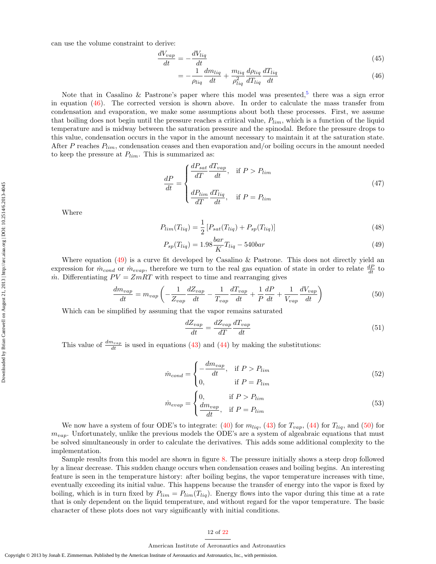$$
\frac{dV_{vap}}{dt} = -\frac{dV_{liq}}{dt} \tag{45}
$$

<span id="page-11-0"></span>
$$
=-\frac{1}{\rho_{liq}}\frac{dm_{liq}}{dt} + \frac{m_{liq}}{\rho_{liq}^2}\frac{d\rho_{liq}}{dT_{liq}}\frac{dT_{liq}}{dt}
$$
\n(46)

Note that in Casalino & Pastrone's paper where this model was presented,<sup>[5](#page-20-4)</sup> there was a sign error in equation  $(46)$ . The corrected version is shown above. In order to calculate the mass transfer from condensation and evaporation, we make some assumptions about both these processes. First, we assume that boiling does not begin until the pressure reaches a critical value,  $P_{lim}$ , which is a function of the liquid temperature and is midway between the saturation pressure and the spinodal. Before the pressure drops to this value, condensation occurs in the vapor in the amount necessary to maintain it at the saturation state. After P reaches  $P_{lim}$ , condensation ceases and then evaporation and/or boiling occurs in the amount needed to keep the pressure at  $P_{lim}$ . This is summarized as:

<span id="page-11-3"></span>
$$
\frac{dP}{dt} = \begin{cases} \frac{dP_{sat}}{dT} \frac{dT_{vap}}{dt}, & \text{if } P > P_{lim} \\ \frac{dP_{lim}}{dT} \frac{dT_{liq}}{dt}, & \text{if } P = P_{lim} \end{cases}
$$
\n(47)

Where

$$
P_{lim}(T_{liq}) = \frac{1}{2} \left[ P_{sat}(T_{liq}) + P_{sp}(T_{liq}) \right]
$$
\n(48)

$$
P_{sp}(T_{liq}) = 1.98 \frac{bar}{K} T_{liq} - 540 bar \tag{49}
$$

Where equation [\(49\)](#page-11-1) is a curve fit developed by Casalino & Pastrone. This does not directly yield an expression for  $\dot{m}_{cond}$  or  $\dot{m}_{evap}$ , therefore we turn to the real gas equation of state in order to relate  $\frac{dP}{dt}$  to  $\dot{m}$ . Differentiating  $PV = ZmRT$  with respect to time and rearranging gives

$$
\frac{dm_{vap}}{dt} = m_{vap} \left( -\frac{1}{Z_{vap}} \frac{dZ_{vap}}{dt} - \frac{1}{T_{vap}} \frac{dT_{vap}}{dt} + \frac{1}{P} \frac{dP}{dt} + \frac{1}{V_{vap}} \frac{dV_{vap}}{dt} \right)
$$
(50)

Which can be simplified by assuming that the vapor remains saturated

<span id="page-11-2"></span><span id="page-11-1"></span>
$$
\frac{dZ_{vap}}{dt} = \frac{dZ_{vap}}{dT}\frac{dT_{vap}}{dt} \tag{51}
$$

This value of  $\frac{dm_{vap}}{dt}$  is used in equations [\(43\)](#page-10-3) and [\(44\)](#page-10-4) by making the substitutions:

$$
\dot{m}_{cond} = \begin{cases}\n-\frac{dm_{vap}}{dt}, & \text{if } P > P_{lim} \\
0, & \text{if } P = P_{lim}\n\end{cases}
$$
\n(52)

$$
\dot{m}_{evap} = \begin{cases} 0, & \text{if } P > P_{lim} \\ \frac{dm_{vap}}{dt}, & \text{if } P = P_{lim} \end{cases} \tag{53}
$$

We now have a system of four ODE's to integrate:  $(40)$  for  $m_{liq}$ ,  $(43)$  for  $T_{vap}$ ,  $(44)$  for  $T_{liq}$ , and  $(50)$  for  $m_{vap}$ . Unfortunately, unlike the previous models the ODE's are a system of algeabraic equations that must be solved simultaneously in order to calculate the derivatives. This adds some additional complexity to the implementation.

Sample results from this model are shown in figure [8.](#page-12-1) The pressure initially shows a steep drop followed by a linear decrease. This sudden change occurs when condensation ceases and boiling begins. An interesting feature is seen in the temperature history: after boiling begins, the vapor temperature increases with time, eventually exceeding its initial value. This happens because the transfer of energy into the vapor is fixed by boiling, which is in turn fixed by  $P_{lim} = P_{lim}(T_{liq})$ . Energy flows into the vapor during this time at a rate that is only dependent on the liquid temperature, and without regard for the vapor temperature. The basic character of these plots does not vary significantly with initial conditions.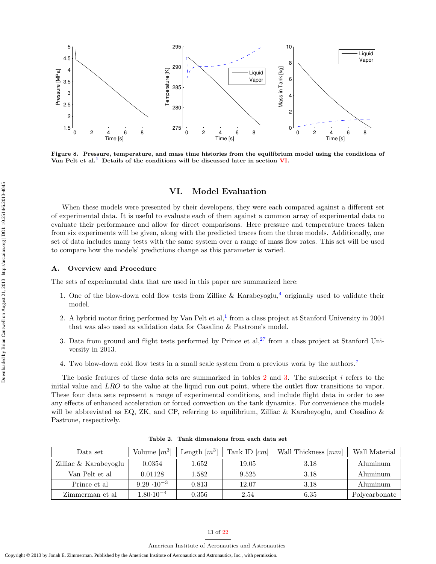

<span id="page-12-1"></span>Figure 8. Pressure, temperature, and mass time histories from the equilibrium model using the conditions of Van Pelt et al.<sup>[1](#page-20-0)</sup> Details of the conditions will be discussed later in section [VI.](#page-12-0)

# VI. Model Evaluation

<span id="page-12-0"></span>When these models were presented by their developers, they were each compared against a different set of experimental data. It is useful to evaluate each of them against a common array of experimental data to evaluate their performance and allow for direct comparisons. Here pressure and temperature traces taken from six experiments will be given, along with the predicted traces from the three models. Additionally, one set of data includes many tests with the same system over a range of mass flow rates. This set will be used to compare how the models' predictions change as this parameter is varied.

#### A. Overview and Procedure

The sets of experimental data that are used in this paper are summarized here:

- 1. One of the blow-down cold flow tests from Zilliac & Karabeyoglu,<sup>[4](#page-20-3)</sup> originally used to validate their model.
- 2. A hybrid motor firing performed by Van Pelt et al,<sup>[1](#page-20-0)</sup> from a class project at Stanford University in 2004 that was also used as validation data for Casalino & Pastrone's model.
- 3. Data from ground and flight tests performed by Prince et al,  $27$  from a class project at Stanford University in 2013.
- 4. Two blow-down cold flow tests in a small scale system from a previous work by the authors.[7](#page-20-6)

The basic features of these data sets are summarized in tables [2](#page-12-2) and [3.](#page-13-0) The subscript i refers to the initial value and LRO to the value at the liquid run out point, where the outlet flow transitions to vapor. These four data sets represent a range of experimental conditions, and include flight data in order to see any effects of enhanced acceleration or forced convection on the tank dynamics. For convenience the models will be abbreviated as EQ, ZK, and CP, referring to equilibrium, Zilliac & Karabeyoglu, and Casalino & Pastrone, respectively.

| Data set              | Volume $[m^3]$       | Length $[m^3]$ | Tank ID $\lceil cm \rceil$ | Wall Thickness $[mm]$ | Wall Material |
|-----------------------|----------------------|----------------|----------------------------|-----------------------|---------------|
| Zilliac & Karabeyoglu | 0.0354               | 1.652          | 19.05                      | 3.18                  | Aluminum      |
| Van Pelt et al        | 0.01128              | 1.582          | 9.525                      | 3.18                  | Aluminum      |
| Prince et al.         | $9.29 \cdot 10^{-3}$ | 0.813          | 12.07                      | 3.18                  | Aluminum      |
| Zimmerman et al       | $1.80 \cdot 10^{-4}$ | 0.356          | 2.54                       | 6.35                  | Polycarbonate |

<span id="page-12-2"></span>Table 2. Tank dimensions from each data set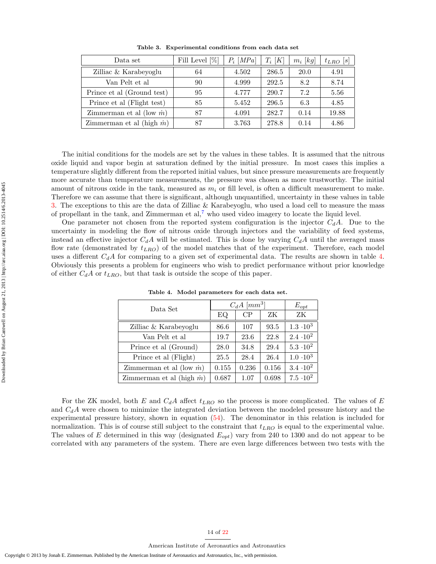| Data set                          | Fill Level $[\%]$ | $P_i$ [MPa] | $T_i[K]$ | $m_i$ [kg] | $t_{LRO}$ [s] |
|-----------------------------------|-------------------|-------------|----------|------------|---------------|
| Zilliac & Karabeyoglu             | 64                | 4.502       | 286.5    | 20.0       | 4.91          |
| Van Pelt et al                    | 90                | 4.999       | 292.5    | 8.2        | 8.74          |
| Prince et al (Ground test)        | 95                | 4.777       | 290.7    | 7.2        | 5.56          |
| Prince et al (Flight test)        | 85                | 5.452       | 296.5    | 6.3        | 4.85          |
| Zimmerman et al (low $\dot{m}$ )  | 87                | 4.091       | 282.7    | 0.14       | 19.88         |
| Zimmerman et al (high $\dot{m}$ ) | 87                | 3.763       | 278.8    | 0.14       | 4.86          |

<span id="page-13-0"></span>Table 3. Experimental conditions from each data set

The initial conditions for the models are set by the values in these tables. It is assumed that the nitrous oxide liquid and vapor begin at saturation defined by the initial pressure. In most cases this implies a temperature slightly different from the reported initial values, but since pressure measurements are frequently more accurate than temperature measurements, the pressure was chosen as more trustworthy. The initial amount of nitrous oxide in the tank, measured as  $m_i$  or fill level, is often a difficult measurement to make. Therefore we can assume that there is significant, although unquantified, uncertainty in these values in table [3.](#page-13-0) The exceptions to this are the data of Zilliac & Karabeyoglu, who used a load cell to measure the mass of propellant in the tank, and Zimmerman et al,<sup>[7](#page-20-6)</sup> who used video imagery to locate the liquid level.

One parameter not chosen from the reported system configuration is the injector  $C_dA$ . Due to the uncertainty in modeling the flow of nitrous oxide through injectors and the variability of feed systems, instead an effective injector  $C_dA$  will be estimated. This is done by varying  $C_dA$  until the averaged mass flow rate (demonstrated by  $t_{LRO}$ ) of the model matches that of the experiment. Therefore, each model uses a different  $C_dA$  for comparing to a given set of experimental data. The results are shown in table [4.](#page-13-1) Obviously this presents a problem for engineers who wish to predict performance without prior knowledge of either  $C_dA$  or  $t_{LRO}$ , but that task is outside the scope of this paper.

| Data Set                          | $C_dA$ [ $mm^3$ ] | $E_{opt}$ |       |                  |
|-----------------------------------|-------------------|-----------|-------|------------------|
|                                   | EQ                | CP        | ZК    | ZK               |
| Zilliac & Karabeyoglu             | 86.6              | 107       | 93.5  | $1.3 \cdot 10^3$ |
| Van Pelt et al                    | 19.7              | 23.6      | 22.8  | $2.4 \cdot 10^2$ |
| Prince et al (Ground)             | 28.0              | 34.8      | 29.4  | $5.3 \cdot 10^2$ |
| Prince et al (Flight)             | 25.5              | 28.4      | 26.4  | $1.0 \cdot 10^3$ |
| Zimmerman et al (low $\dot{m}$ )  | 0.155             | 0.236     | 0.156 | $3.4 \cdot 10^2$ |
| Zimmerman et al (high $\dot{m}$ ) | 0.687             | 1.07      | 0.698 | $7.5 \cdot 10^2$ |

<span id="page-13-1"></span>Table 4. Model parameters for each data set.

For the ZK model, both E and  $C_dA$  affect  $t_{LRO}$  so the process is more complicated. The values of E and  $C_dA$  were chosen to minimize the integrated deviation between the modeled pressure history and the experimental pressure history, shown in equation [\(54\)](#page-14-0). The denominator in this relation is included for normalization. This is of course still subject to the constraint that  $t_{LRO}$  is equal to the experimental value. The values of E determined in this way (designated  $E_{opt}$ ) vary from 240 to 1300 and do not appear to be correlated with any parameters of the system. There are even large differences between two tests with the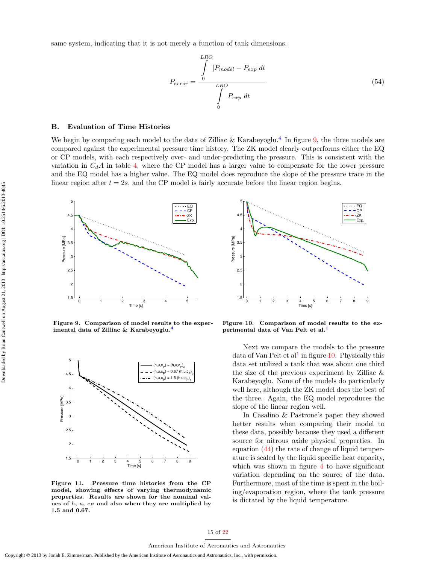<span id="page-14-0"></span>same system, indicating that it is not merely a function of tank dimensions.

$$
P_{error} = \frac{\int_{0}^{LRO} |P_{model} - P_{exp}| dt}{\int_{0}^{LRO} P_{exp} dt}
$$
\n(54)

### B. Evaluation of Time Histories

We begin by comparing each model to the data of Zilliac & Karabeyoglu.<sup>[4](#page-20-3)</sup> In figure [9,](#page-14-1) the three models are compared against the experimental pressure time history. The ZK model clearly outperforms either the EQ or CP models, with each respectively over- and under-predicting the pressure. This is consistent with the variation in  $C_dA$  in table [4,](#page-13-1) where the CP model has a larger value to compensate for the lower pressure and the EQ model has a higher value. The EQ model does reproduce the slope of the pressure trace in the linear region after  $t = 2s$ , and the CP model is fairly accurate before the linear region begins.



<span id="page-14-1"></span>Figure 9. Comparison of model results to the exper-imental data of Zilliac & Karabeyoglu.<sup>[4](#page-20-3)</sup>



<span id="page-14-3"></span>Figure 11. Pressure time histories from the CP model, showing effects of varying thermodynamic properties. Results are shown for the nominal values of  $h$ ,  $u$ ,  $c<sub>P</sub>$  and also when they are multiplied by 1.5 and 0.67.



<span id="page-14-2"></span>Figure 10. Comparison of model results to the ex-perimental data of Van Pelt et al.<sup>[1](#page-20-0)</sup>

Next we compare the models to the pressure data of Van Pelt et al<sup>[1](#page-20-0)</sup> in figure  $10$ . Physically this data set utilized a tank that was about one third the size of the previous experiment by Zilliac & Karabeyoglu. None of the models do particularly well here, although the ZK model does the best of the three. Again, the EQ model reproduces the slope of the linear region well.

In Casalino & Pastrone's paper they showed better results when comparing their model to these data, possibly because they used a different source for nitrous oxide physical properties. In equation [\(44\)](#page-10-4) the rate of change of liquid temperature is scaled by the liquid specific heat capacity, which was shown in figure [4](#page-6-0) to have significant variation depending on the source of the data. Furthermore, most of the time is spent in the boiling/evaporation region, where the tank pressure is dictated by the liquid temperature.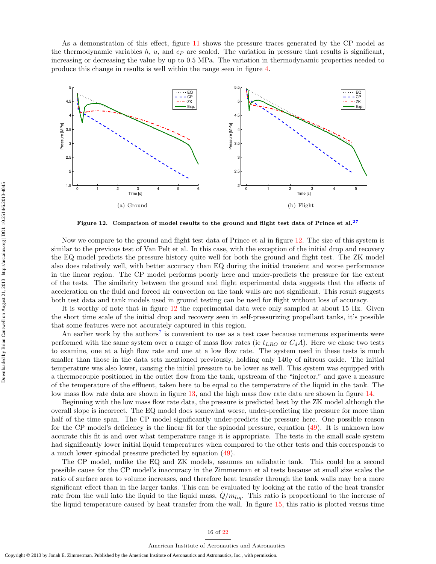As a demonstration of this effect, figure [11](#page-14-3) shows the pressure traces generated by the CP model as the thermodynamic variables h, u, and  $c<sub>P</sub>$  are scaled. The variation in pressure that results is significant. increasing or decreasing the value by up to 0.5 MPa. The variation in thermodynamic properties needed to produce this change in results is well within the range seen in figure [4.](#page-6-0)



<span id="page-15-0"></span>Figure 12. Comparison of model results to the ground and flight test data of Prince et al.<sup>[27](#page-21-1)</sup>

Now we compare to the ground and flight test data of Prince et al in figure [12.](#page-15-0) The size of this system is similar to the previous test of Van Pelt et al. In this case, with the exception of the initial drop and recovery the EQ model predicts the pressure history quite well for both the ground and flight test. The ZK model also does relatively well, with better accuracy than EQ during the initial transient and worse performance in the linear region. The CP model performs poorly here and under-predicts the pressure for the extent of the tests. The similarity between the ground and flight experimental data suggests that the effects of acceleration on the fluid and forced air convection on the tank walls are not significant. This result suggests both test data and tank models used in ground testing can be used for flight without loss of accuracy.

It is worthy of note that in figure [12](#page-15-0) the experimental data were only sampled at about 15 Hz. Given the short time scale of the initial drop and recovery seen in self-pressurizing propellant tanks, it's possible that some features were not accurately captured in this region.

An earlier work by the authors<sup>[7](#page-20-6)</sup> is convenient to use as a test case because numerous experiments were performed with the same system over a range of mass flow rates (ie  $t_{LRO}$  or  $C_dA$ ). Here we chose two tests to examine, one at a high flow rate and one at a low flow rate. The system used in these tests is much smaller than those in the data sets mentioned previously, holding only 140g of nitrous oxide. The initial temperature was also lower, causing the initial pressure to be lower as well. This system was equipped with a thermocouple positioned in the outlet flow from the tank, upstream of the "injector," and gave a measure of the temperature of the effluent, taken here to be equal to the temperature of the liquid in the tank. The low mass flow rate data are shown in figure [13,](#page-16-0) and the high mass flow rate data are shown in figure [14.](#page-16-1)

Beginning with the low mass flow rate data, the pressure is predicted best by the ZK model although the overall slope is incorrect. The EQ model does somewhat worse, under-predicting the pressure for more than half of the time span. The CP model significantly under-predicts the pressure here. One possible reason for the CP model's deficiency is the linear fit for the spinodal pressure, equation [\(49\)](#page-11-1). It is unknown how accurate this fit is and over what temperature range it is appropriate. The tests in the small scale system had significantly lower initial liquid temperatures when compared to the other tests and this corresponds to a much lower spinodal pressure predicted by equation [\(49\)](#page-11-1).

The CP model, unlike the EQ and ZK models, assumes an adiabatic tank. This could be a second possible cause for the CP model's inaccuracy in the Zimmerman et al tests because at small size scales the ratio of surface area to volume increases, and therefore heat transfer through the tank walls may be a more significant effect than in the larger tanks. This can be evaluated by looking at the ratio of the heat transfer rate from the wall into the liquid to the liquid mass,  $\dot{Q}/m_{liq}$ . This ratio is proportional to the increase of the liquid temperature caused by heat transfer from the wall. In figure [15,](#page-17-0) this ratio is plotted versus time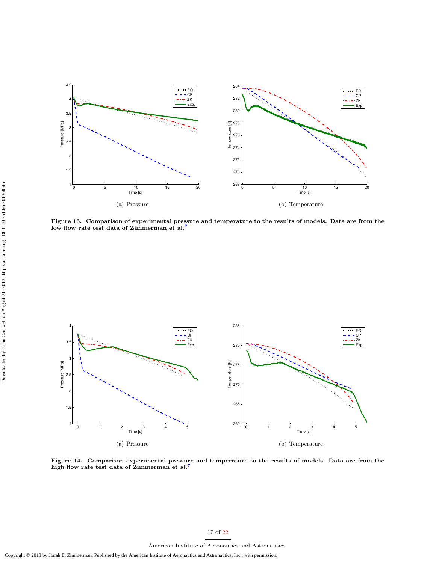

<span id="page-16-0"></span>Figure 13. Comparison of experimental pressure and temperature to the results of models. Data are from the low flow rate test data of Zimmerman et al.<sup>[7](#page-20-6)</sup>



<span id="page-16-1"></span>Figure 14. Comparison experimental pressure and temperature to the results of models. Data are from the high flow rate test data of Zimmerman et al.[7](#page-20-6)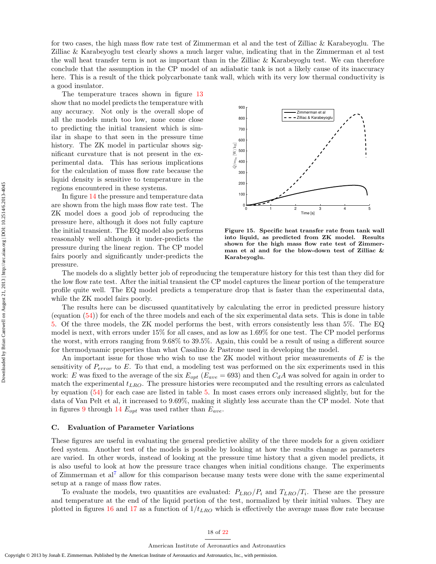for two cases, the high mass flow rate test of Zimmerman et al and the test of Zilliac & Karabeyoglu. The Zilliac & Karabeyoglu test clearly shows a much larger value, indicating that in the Zimmerman et al test the wall heat transfer term is not as important than in the Zilliac & Karabeyoglu test. We can therefore conclude that the assumption in the CP model of an adiabatic tank is not a likely cause of its inaccuracy here. This is a result of the thick polycarbonate tank wall, which with its very low thermal conductivity is a good insulator.

The temperature traces shown in figure [13](#page-16-0) show that no model predicts the temperature with any accuracy. Not only is the overall slope of all the models much too low, none come close to predicting the initial transient which is similar in shape to that seen in the pressure time history. The ZK model in particular shows significant curvature that is not present in the experimental data. This has serious implications for the calculation of mass flow rate because the liquid density is sensitive to temperature in the regions encountered in these systems.

In figure [14](#page-16-1) the pressure and temperature data are shown from the high mass flow rate test. The ZK model does a good job of reproducing the pressure here, although it does not fully capture the initial transient. The EQ model also performs reasonably well although it under-predicts the pressure during the linear region. The CP model fairs poorly and significantly under-predicts the pressure.



<span id="page-17-0"></span>Figure 15. Specific heat transfer rate from tank wall into liquid, as predicted from ZK model. Results shown for the high mass flow rate test of Zimmerman et al and for the blow-down test of Zilliac & Karabeyoglu.

The models do a slightly better job of reproducing the temperature history for this test than they did for the low flow rate test. After the initial transient the CP model captures the linear portion of the temperature profile quite well. The EQ model predicts a temperature drop that is faster than the experimental data, while the ZK model fairs poorly.

The results here can be discussed quantitatively by calculating the error in predicted pressure history (equation [\(54\)](#page-14-0)) for each of the three models and each of the six experimental data sets. This is done in table [5.](#page-18-0) Of the three models, the ZK model performs the best, with errors consistently less than 5%. The EQ model is next, with errors under 15% for all cases, and as low as 1.69% for one test. The CP model performs the worst, with errors ranging from 9.68% to 39.5%. Again, this could be a result of using a different source for thermodynamic properties than what Casalino & Pastrone used in developing the model.

An important issue for those who wish to use the ZK model without prior measurements of E is the sensitivity of  $P_{error}$  to E. To that end, a modeling test was performed on the six experiments used in this work: E was fixed to the average of the six  $E_{opt}$  ( $E_{ave} = 693$ ) and then  $C_dA$  was solved for again in order to match the experimental  $t_{LRO}$ . The pressure histories were recomputed and the resulting errors as calculated by equation [\(54\)](#page-14-0) for each case are listed in table [5.](#page-18-0) In most cases errors only increased slightly, but for the data of Van Pelt et al, it increased to 9.69%, making it slightly less accurate than the CP model. Note that in figures [9](#page-14-1) through [14](#page-16-1)  $E_{opt}$  was used rather than  $E_{ave}$ .

#### C. Evaluation of Parameter Variations

These figures are useful in evaluating the general predictive ability of the three models for a given oxidizer feed system. Another test of the models is possible by looking at how the results change as parameters are varied. In other words, instead of looking at the pressure time history that a given model predicts, it is also useful to look at how the pressure trace changes when initial conditions change. The experiments of Zimmerman et al<sup>[7](#page-20-6)</sup> allow for this comparison because many tests were done with the same experimental setup at a range of mass flow rates.

To evaluate the models, two quantities are evaluated:  $P_{LRO}/P_i$  and  $T_{LRO}/T_i$ . These are the pressure and temperature at the end of the liquid portion of the test, normalized by their initial values. They are plotted in figures [16](#page-18-1) and [17](#page-18-2) as a function of  $1/t_{LRO}$  which is effectively the average mass flow rate because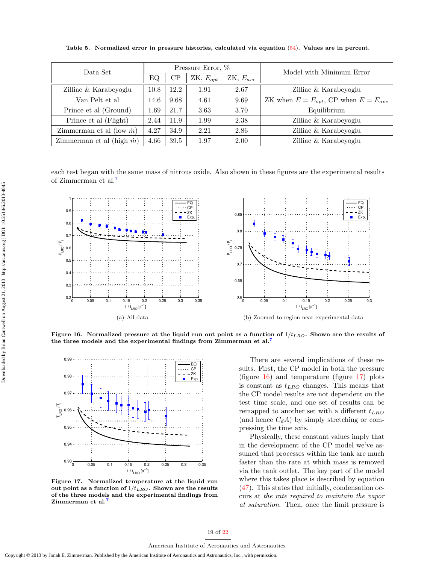| Data Set                          | Pressure Error, % |          |               |               | Model with Minimum Error                      |
|-----------------------------------|-------------------|----------|---------------|---------------|-----------------------------------------------|
|                                   | ΕQ                | $\rm CP$ | $ZK, E_{opt}$ | $ZK, E_{ave}$ |                                               |
| Zilliac & Karabeyoglu             | 10.8              | 12.2     | 1.91          | 2.67          | Zilliac & Karabeyoglu                         |
| Van Pelt et al                    | 14.6              | 9.68     | 4.61          | 9.69          | ZK when $E = E_{opt}$ , CP when $E = E_{ave}$ |
| Prince et al (Ground)             | 1.69              | 21.7     | 3.63          | 3.70          | Equilibrium                                   |
| Prince et al (Flight)             | 2.44              | 11.9     | 1.99          | 2.38          | Zilliac & Karabeyoglu                         |
| Zimmerman et al (low $\dot{m}$ )  | 4.27              | 34.9     | 2.21          | 2.86          | Zilliac & Karabeyoglu                         |
| Zimmerman et al (high $\dot{m}$ ) | 4.66              | 39.5     | 1.97          | 2.00          | Zilliac & Karabeyoglu                         |

<span id="page-18-0"></span>Table 5. Normalized error in pressure histories, calculated via equation [\(54\)](#page-14-0). Values are in percent.

each test began with the same mass of nitrous oxide. Also shown in these figures are the experimental results of Zimmerman et al.[7](#page-20-6)



<span id="page-18-1"></span>Figure 16. Normalized pressure at the liquid run out point as a function of  $1/t_{LRO}$ . Shown are the results of the three models and the experimental findings from Zimmerman et al.[7](#page-20-6)



<span id="page-18-2"></span>Figure 17. Normalized temperature at the liquid run out point as a function of  $1/t_{LRO}$ . Shown are the results of the three models and the experimental findings from Zimmerman et al.<sup>[7](#page-20-6)</sup>

There are several implications of these results. First, the CP model in both the pressure (figure [16\)](#page-18-1) and temperature (figure [17\)](#page-18-2) plots is constant as  $t_{LRO}$  changes. This means that the CP model results are not dependent on the test time scale, and one set of results can be remapped to another set with a different  $t_{LRO}$ (and hence  $C_dA$ ) by simply stretching or compressing the time axis.

Physically, these constant values imply that in the development of the CP model we've assumed that processes within the tank are much faster than the rate at which mass is removed via the tank outlet. The key part of the model where this takes place is described by equation [\(47\)](#page-11-3). This states that initially, condensation occurs at the rate required to maintain the vapor at saturation. Then, once the limit pressure is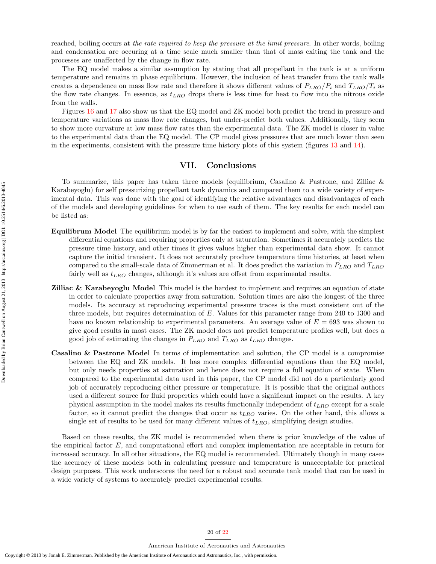reached, boiling occurs at the rate required to keep the pressure at the limit pressure. In other words, boiling and condensation are occuring at a time scale much smaller than that of mass exiting the tank and the processes are unaffected by the change in flow rate.

The EQ model makes a similar assumption by stating that all propellant in the tank is at a uniform temperature and remains in phase equilibrium. However, the inclusion of heat transfer from the tank walls creates a dependence on mass flow rate and therefore it shows different values of  $P_{LRO}/P_i$  and  $T_{LRO}/T_i$  as the flow rate changes. In essence, as  $t_{LRO}$  drops there is less time for heat to flow into the nitrous oxide from the walls.

Figures [16](#page-18-1) and [17](#page-18-2) also show us that the EQ model and ZK model both predict the trend in pressure and temperature variations as mass flow rate changes, but under-predict both values. Additionally, they seem to show more curvature at low mass flow rates than the experimental data. The ZK model is closer in value to the experimental data than the EQ model. The CP model gives pressures that are much lower than seen in the experiments, consistent with the pressure time history plots of this system (figures [13](#page-16-0) and [14\)](#page-16-1).

## VII. Conclusions

To summarize, this paper has taken three models (equilibrium, Casalino & Pastrone, and Zilliac & Karabeyoglu) for self pressurizing propellant tank dynamics and compared them to a wide variety of experimental data. This was done with the goal of identifying the relative advantages and disadvantages of each of the models and developing guidelines for when to use each of them. The key results for each model can be listed as:

- Equilibrum Model The equilibrium model is by far the easiest to implement and solve, with the simplest differential equations and requiring properties only at saturation. Sometimes it accurately predicts the pressure time history, and other times it gives values higher than experimental data show. It cannot capture the initial transient. It does not accurately produce temperature time histories, at least when compared to the small-scale data of Zimmerman et al. It does predict the variation in  $P_{LRO}$  and  $T_{LRO}$ fairly well as  $t_{LRO}$  changes, although it's values are offset from experimental results.
- **Zilliac & Karabeyoglu Model** This model is the hardest to implement and requires an equation of state in order to calculate properties away from saturation. Solution times are also the longest of the three models. Its accuracy at reproducing experimental pressure traces is the most consistent out of the three models, but requires determination of E. Values for this parameter range from 240 to 1300 and have no known relationship to experimental parameters. An average value of  $E = 693$  was shown to give good results in most cases. The ZK model does not predict temperature profiles well, but does a good job of estimating the changes in  $P_{LRO}$  and  $T_{LRO}$  as  $t_{LRO}$  changes.
- Casalino & Pastrone Model In terms of implementation and solution, the CP model is a compromise between the EQ and ZK models. It has more complex differential equations than the EQ model, but only needs properties at saturation and hence does not require a full equation of state. When compared to the experimental data used in this paper, the CP model did not do a particularly good job of accurately reproducing either pressure or temperature. It is possible that the original authors used a different source for fluid properties which could have a significant impact on the results. A key physical assumption in the model makes its results functionally independent of  $t_{LRO}$  except for a scale factor, so it cannot predict the changes that occur as  $t_{LRO}$  varies. On the other hand, this allows a single set of results to be used for many different values of  $t_{LRO}$ , simplifying design studies.

Based on these results, the ZK model is recommended when there is prior knowledge of the value of the empirical factor E, and computational effort and complex implementation are acceptable in return for increased accuracy. In all other situations, the EQ model is recommended. Ultimately though in many cases the accuracy of these models both in calculating pressure and temperature is unacceptable for practical design purposes. This work underscores the need for a robust and accurate tank model that can be used in a wide variety of systems to accurately predict experimental results.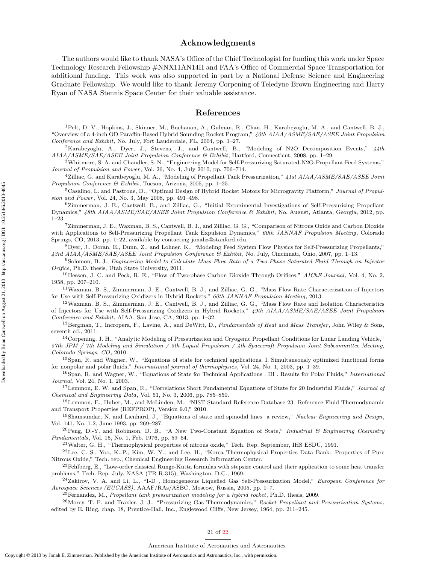## Acknowledgments

The authors would like to thank NASA's Office of the Chief Technologist for funding this work under Space Technology Research Fellowship #NNX11AN14H and FAA's Office of Commercial Space Transportation for additional funding. This work was also supported in part by a National Defense Science and Engineering Graduate Fellowship. We would like to thank Jeremy Corpening of Teledyne Brown Engineering and Harry Ryan of NASA Stennis Space Center for their valuable assistance.

# References

<span id="page-20-0"></span><sup>1</sup>Pelt, D. V., Hopkins, J., Skinner, M., Buchanan, A., Gulman, R., Chan, H., Karabeyoglu, M. A., and Cantwell, B. J., "Overview of a 4-inch OD Paraffin-Based Hybrid Sounding Rocket Program," 40th AIAA/ASME/SAE/ASEE Joint Propulsion Conference and Exhibit, No. July, Fort Lauderdale, FL, 2004, pp. 1–27.

<span id="page-20-1"></span><sup>2</sup>Karabeyoglu, A., Dyer, J., Stevens, J., and Cantwell, B., "Modeling of N2O Decomposition Events,"  $44$ th AIAA/ASME/SAE/ASEE Joint Propulsion Conference & Exhibit, Hartford, Connecticut, 2008, pp. 1–29.

<span id="page-20-2"></span><sup>3</sup>Whitmore, S. A. and Chandler, S. N., "Engineering Model for Self-Pressurizing Saturated-N2O-Propellant Feed Systems," Journal of Propulsion and Power, Vol. 26, No. 4, July 2010, pp. 706–714.

<span id="page-20-3"></span><sup>4</sup>Zilliac, G. and Karabeyoglu, M. A., "Modeling of Propellant Tank Pressurization," 41st AIAA/ASME/SAE/ASEE Joint Propulsion Conference & Exhibit, Tucson, Arizona, 2005, pp. 1–25.

<span id="page-20-4"></span> $5$ Casalino, L. and Pastrone, D., "Optimal Design of Hybrid Rocket Motors for Microgravity Platform," Journal of Propulsion and Power, Vol. 24, No. 3, May 2008, pp. 491-498.

<span id="page-20-5"></span><sup>6</sup>Zimmerman, J. E., Cantwell, B., and Zilliac, G., "Initial Experimental Investigations of Self-Pressurizing Propellant Dynamics," 48th AIAA/ASME/SAE/ASEE Joint Propulsion Conference & Exhibit, No. August, Atlanta, Georgia, 2012, pp. 1–23.

<span id="page-20-6"></span><sup>7</sup>Zimmerman, J. E., Waxman, B. S., Cantwell, B. J., and Zilliac, G. G., "Comparison of Nitrous Oxide and Carbon Dioxide with Applications to Self-Pressurizing Propellant Tank Expulsion Dynamics," 60th JANNAF Propulsion Meeting, Colorado Springs, CO, 2013, pp. 1–22, available by contacting jonahz@stanford.edu.

<span id="page-20-7"></span><sup>8</sup>Dyer, J., Doran, E., Dunn, Z., and Lohner, K., "Modeling Feed System Flow Physics for Self-Pressurizing Propellants," 43rd AIAA/ASME/SAE/ASEE Joint Propulsion Conference & Exhibit, No. July, Cincinnati, Ohio, 2007, pp. 1–13.

<span id="page-20-8"></span><sup>9</sup>Solomon, B. J., Engineering Model to Calculate Mass Flow Rate of a Two-Phase Saturated Fluid Through an Injector Orifice, Ph.D. thesis, Utah State University, 2011.

<span id="page-20-9"></span><sup>10</sup>Hesson, J. C. and Peck, R. E., "Flow of Two-phase Carbon Dioxide Through Orifices," *AIChE Journal*, Vol. 4, No. 2, 1958, pp. 207–210.

<span id="page-20-10"></span><sup>11</sup>Waxman, B. S., Zimmerman, J. E., Cantwell, B. J., and Zilliac, G. G., "Mass Flow Rate Characterization of Injectors for Use with Self-Pressurizing Oxidizers in Hybrid Rockets," 60th JANNAF Propulsion Meeting, 2013.

<span id="page-20-11"></span><sup>12</sup>Waxman, B. S., Zimmerman, J. E., Cantwell, B. J., and Zilliac, G. G., "Mass Flow Rate and Isolation Characteristics of Injectors for Use with Self-Pressurizing Oxidizers in Hybrid Rockets," 49th AIAA/ASME/SAE/ASEE Joint Propulsion Conference and Exhibit, AIAA, San Jose, CA, 2013, pp. 1–32.

<span id="page-20-12"></span> $^{13}$ Bergman, T., Incropera, F., Lavine, A., and DeWitt, D., Fundamentals of Heat and Mass Transfer, John Wiley & Sons, seventh ed., 2011.

<span id="page-20-13"></span><sup>14</sup>Corpening, J. H., "Analytic Modeling of Pressurization and Cryogenic Propellant Conditions for Lunar Landing Vehicle," 57th JPM / 7th Modeling and Simulation / 5th Liquid Propulsion / 4th Spacecraft Propulsion Joint Subcommittee Meeting, Colorado Springs, CO, 2010.

<span id="page-20-14"></span><sup>15</sup>Span, R. and Wagner, W., "Equations of state for technical applications. I. Simultaneously optimized functional forms for nonpolar and polar fluids," International journal of thermophysics, Vol. 24, No. 1, 2003, pp. 1–39.

<span id="page-20-15"></span><sup>16</sup>Span, R. and Wagner, W., "Equations of State for Technical Applications . III . Results for Polar Fluids," *International* Journal, Vol. 24, No. 1, 2003.

<span id="page-20-16"></span><sup>17</sup>Lemmon, E. W. and Span, R., "Correlations Short Fundamental Equations of State for 20 Industrial Fluids," Journal of Chemical and Engineering Data, Vol. 51, No. 3, 2006, pp. 785–850.

<span id="page-20-17"></span><sup>18</sup>Lemmon, E., Huber, M., and McLinden, M., "NIST Standard Reference Database 23: Reference Fluid Thermodynamic and Transport Properties (REFPROP), Version 9.0," 2010.

<span id="page-20-18"></span><sup>19</sup>Shamsundar, N. and Lienhard, J., "Equations of state and spinodal lines a review," Nuclear Engineering and Design, Vol. 141, No. 1-2, June 1993, pp. 269–287.

<span id="page-20-19"></span><sup>20</sup>Peng, D.-Y. and Robinson, D. B., "A New Two-Constant Equation of State," Industrial & Engineering Chemistry Fundamentals, Vol. 15, No. 1, Feb. 1976, pp. 59–64.

<span id="page-20-20"></span> $^{21}$ Walter, G. H., "Thermophysical properties of nitrous oxide," Tech. Rep. September, IHS ESDU, 1991.

<span id="page-20-21"></span> $22$ Lee, C. S., Yoo, K.-P., Kim, W. Y., and Lee, H., "Korea Thermophysical Properties Data Bank: Properties of Pure Nitrous Oxide," Tech. rep., Chemical Engineering Research Information Center.

<span id="page-20-22"></span> $^{23}$ Fehlberg, E., "Low-order classical Runge-Kutta formulas with stepsize control and their application to some heat transfer problems," Tech. Rep. July, NASA (TR R-315), Washington, D.C., 1969.

<span id="page-20-23"></span><sup>24</sup>Zakirov, V. A. and Li, L., "1-D , Homogeneous Liquefied Gas Self-Pressurization Model," European Conference for Aerospace Sciences (EUCASS), AAAF/RAs/ASBC, Moscow, Russia, 2005, pp. 1–7.

<span id="page-20-24"></span><sup>25</sup>Fernandez, M., Propellant tank pressurization modeling for a hybrid rocket, Ph.D. thesis, 2009.

<span id="page-20-25"></span><sup>26</sup> Morey, T. F. and Traxler, J. J., "Pressurizing Gas Thermodynamics," Rocket Propellant and Pressurization Systems, edited by E. Ring, chap. 18, Prentice-Hall, Inc., Englewood Cliffs, New Jersey, 1964, pp. 211–245.